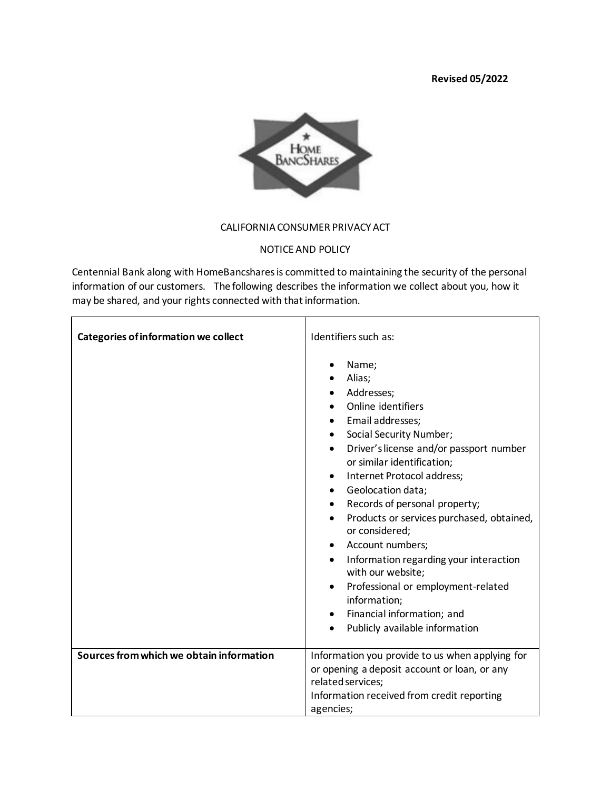## **Revised 05/2022**



## CALIFORNIA CONSUMER PRIVACY ACT

## NOTICE AND POLICY

Centennial Bank along with HomeBancshares is committed to maintaining the security of the personal information of our customers. The following describes the information we collect about you, how it may be shared, and your rights connected with that information.

| <b>Categories of information we collect</b> | Identifiers such as:                                                                                                                                                                                                                                                                                                                                                                                                                                                                                                                                                                                                                                                                                             |
|---------------------------------------------|------------------------------------------------------------------------------------------------------------------------------------------------------------------------------------------------------------------------------------------------------------------------------------------------------------------------------------------------------------------------------------------------------------------------------------------------------------------------------------------------------------------------------------------------------------------------------------------------------------------------------------------------------------------------------------------------------------------|
|                                             | Name;<br>$\bullet$<br>Alias;<br>Addresses;<br>Online identifiers<br>Email addresses;<br>$\bullet$<br>Social Security Number;<br>$\bullet$<br>Driver's license and/or passport number<br>$\bullet$<br>or similar identification;<br>Internet Protocol address;<br>$\bullet$<br>Geolocation data;<br>$\bullet$<br>Records of personal property;<br>$\bullet$<br>Products or services purchased, obtained,<br>$\bullet$<br>or considered;<br>Account numbers;<br>$\bullet$<br>Information regarding your interaction<br>$\bullet$<br>with our website;<br>Professional or employment-related<br>$\bullet$<br>information;<br>Financial information; and<br>$\bullet$<br>Publicly available information<br>$\bullet$ |
| Sources from which we obtain information    | Information you provide to us when applying for<br>or opening a deposit account or loan, or any<br>related services;                                                                                                                                                                                                                                                                                                                                                                                                                                                                                                                                                                                             |
|                                             | Information received from credit reporting<br>agencies;                                                                                                                                                                                                                                                                                                                                                                                                                                                                                                                                                                                                                                                          |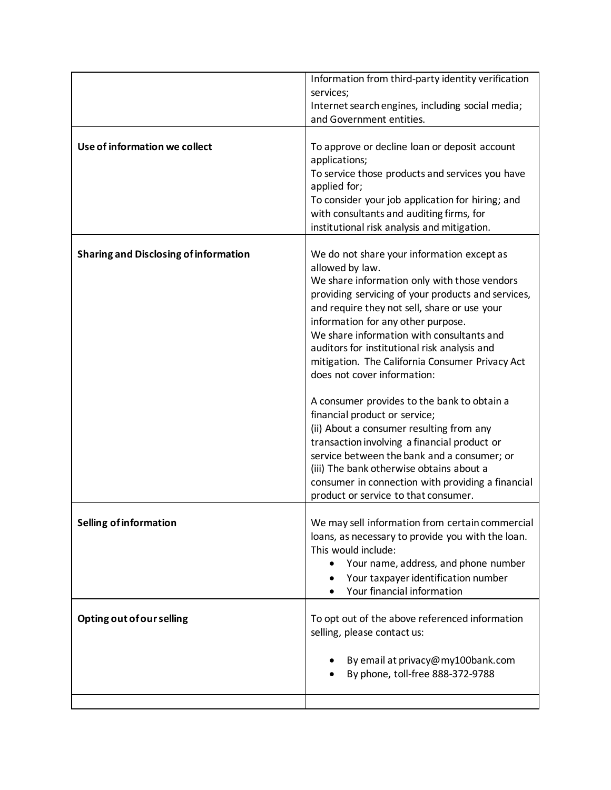|                                              | Information from third-party identity verification<br>services;                                                                                                                                                                                                                                                                                                                                                                                                                                                                                                                                                                                                                                                 |
|----------------------------------------------|-----------------------------------------------------------------------------------------------------------------------------------------------------------------------------------------------------------------------------------------------------------------------------------------------------------------------------------------------------------------------------------------------------------------------------------------------------------------------------------------------------------------------------------------------------------------------------------------------------------------------------------------------------------------------------------------------------------------|
|                                              | Internet search engines, including social media;<br>and Government entities.                                                                                                                                                                                                                                                                                                                                                                                                                                                                                                                                                                                                                                    |
| Use of information we collect                | To approve or decline loan or deposit account<br>applications;<br>To service those products and services you have<br>applied for;<br>To consider your job application for hiring; and<br>with consultants and auditing firms, for<br>institutional risk analysis and mitigation.                                                                                                                                                                                                                                                                                                                                                                                                                                |
| <b>Sharing and Disclosing of information</b> | We do not share your information except as<br>allowed by law.<br>We share information only with those vendors<br>providing servicing of your products and services,<br>and require they not sell, share or use your<br>information for any other purpose.<br>We share information with consultants and<br>auditors for institutional risk analysis and<br>mitigation. The California Consumer Privacy Act<br>does not cover information:<br>A consumer provides to the bank to obtain a<br>financial product or service;<br>(ii) About a consumer resulting from any<br>transaction involving a financial product or<br>service between the bank and a consumer; or<br>(iii) The bank otherwise obtains about a |
|                                              | consumer in connection with providing a financial<br>product or service to that consumer.                                                                                                                                                                                                                                                                                                                                                                                                                                                                                                                                                                                                                       |
| <b>Selling of information</b>                | We may sell information from certain commercial<br>loans, as necessary to provide you with the loan.<br>This would include:<br>Your name, address, and phone number<br>Your taxpayer identification number<br>Your financial information                                                                                                                                                                                                                                                                                                                                                                                                                                                                        |
| Opting out of our selling                    | To opt out of the above referenced information<br>selling, please contact us:                                                                                                                                                                                                                                                                                                                                                                                                                                                                                                                                                                                                                                   |
|                                              | By email at privacy@my100bank.com<br>By phone, toll-free 888-372-9788                                                                                                                                                                                                                                                                                                                                                                                                                                                                                                                                                                                                                                           |
|                                              |                                                                                                                                                                                                                                                                                                                                                                                                                                                                                                                                                                                                                                                                                                                 |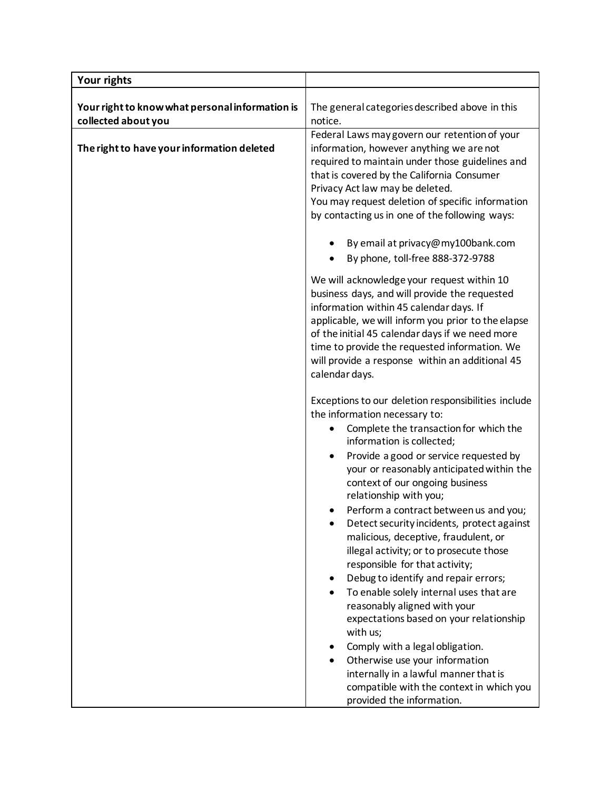| <b>Your rights</b>                                                     |                                                                                                                                                                                                                                                                                                                                                                          |
|------------------------------------------------------------------------|--------------------------------------------------------------------------------------------------------------------------------------------------------------------------------------------------------------------------------------------------------------------------------------------------------------------------------------------------------------------------|
| Your right to know what personal information is<br>collected about you | The general categories described above in this<br>notice.                                                                                                                                                                                                                                                                                                                |
| The right to have your information deleted                             | Federal Laws may govern our retention of your<br>information, however anything we are not<br>required to maintain under those guidelines and<br>that is covered by the California Consumer<br>Privacy Act law may be deleted.<br>You may request deletion of specific information<br>by contacting us in one of the following ways:<br>By email at privacy@my100bank.com |
|                                                                        | By phone, toll-free 888-372-9788                                                                                                                                                                                                                                                                                                                                         |
|                                                                        | We will acknowledge your request within 10<br>business days, and will provide the requested<br>information within 45 calendar days. If<br>applicable, we will inform you prior to the elapse<br>of the initial 45 calendar days if we need more<br>time to provide the requested information. We<br>will provide a response within an additional 45<br>calendar days.    |
|                                                                        | Exceptions to our deletion responsibilities include                                                                                                                                                                                                                                                                                                                      |
|                                                                        | the information necessary to:<br>Complete the transaction for which the<br>$\bullet$<br>information is collected;                                                                                                                                                                                                                                                        |
|                                                                        | Provide a good or service requested by<br>your or reasonably anticipated within the<br>context of our ongoing business<br>relationship with you;<br>Perform a contract between us and you;<br>Detect security incidents, protect against                                                                                                                                 |
|                                                                        | malicious, deceptive, fraudulent, or<br>illegal activity; or to prosecute those<br>responsible for that activity;<br>Debug to identify and repair errors;<br>٠                                                                                                                                                                                                           |
|                                                                        | To enable solely internal uses that are<br>$\bullet$<br>reasonably aligned with your<br>expectations based on your relationship<br>with us;                                                                                                                                                                                                                              |
|                                                                        | Comply with a legal obligation.<br>Otherwise use your information<br>internally in a lawful manner that is<br>compatible with the context in which you<br>provided the information.                                                                                                                                                                                      |